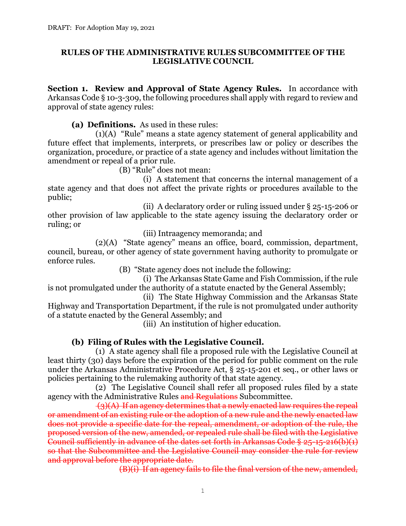#### **RULES OF THE ADMINISTRATIVE RULES SUBCOMMITTEE OF THE LEGISLATIVE COUNCIL**

**Section 1. Review and Approval of State Agency Rules.** In accordance with Arkansas Code § 10-3-309, the following procedures shall apply with regard to review and approval of state agency rules:

**(a) Definitions.** As used in these rules:

(1)(A) "Rule" means a state agency statement of general applicability and future effect that implements, interprets, or prescribes law or policy or describes the organization, procedure, or practice of a state agency and includes without limitation the amendment or repeal of a prior rule.

(B) "Rule" does not mean:

(i) A statement that concerns the internal management of a state agency and that does not affect the private rights or procedures available to the public;

(ii) A declaratory order or ruling issued under § 25-15-206 or other provision of law applicable to the state agency issuing the declaratory order or ruling; or

(iii) Intraagency memoranda; and

(2)(A) "State agency" means an office, board, commission, department, council, bureau, or other agency of state government having authority to promulgate or enforce rules.

(B) "State agency does not include the following:

(i) The Arkansas State Game and Fish Commission, if the rule is not promulgated under the authority of a statute enacted by the General Assembly;

(ii) The State Highway Commission and the Arkansas State Highway and Transportation Department, if the rule is not promulgated under authority of a statute enacted by the General Assembly; and

(iii) An institution of higher education.

# **(b) Filing of Rules with the Legislative Council.**

(1) A state agency shall file a proposed rule with the Legislative Council at least thirty (30) days before the expiration of the period for public comment on the rule under the Arkansas Administrative Procedure Act, § 25-15-201 et seq., or other laws or policies pertaining to the rulemaking authority of that state agency.

(2) The Legislative Council shall refer all proposed rules filed by a state agency with the Administrative Rules and Regulations Subcommittee.

 $\{\hat{B}(\text{A})\}$  If an agency determines that a newly enacted law requires the repeal or amendment of an existing rule or the adoption of a new rule and the newly enacted law does not provide a specific date for the repeal, amendment, or adoption of the rule, the proposed version of the new, amended, or repealed rule shall be filed with the Legislative Council sufficiently in advance of the dates set forth in Arkansas Code § 25-15-216(b)(1) so that the Subcommittee and the Legislative Council may consider the rule for review and approval before the appropriate date.

(B)(i) If an agency fails to file the final version of the new, amended,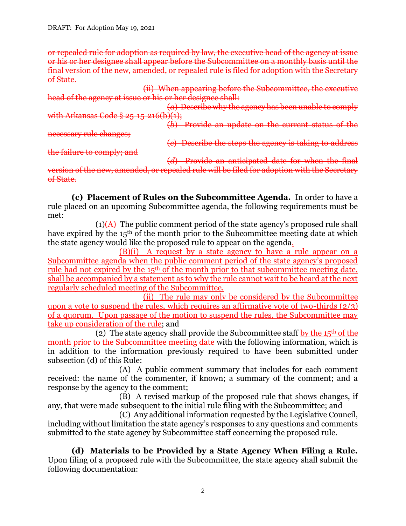or repealed rule for adoption as required by law, the executive head of the agency at issue or his or her designee shall appear before the Subcommittee on a monthly basis until the final version of the new, amended, or repealed rule is filed for adoption with the Secretary of State.

(ii) When appearing before the Subcommittee, the executive head of the agency at issue or his or her designee shall:

(*a*) Describe why the agency has been unable to comply with Arkansas Code § 25-15-216(b)(1);

(*b*) Provide an update on the current status of the necessary rule changes;

the failure to comply; and

(*c*) Describe the steps the agency is taking to address

(*d*) Provide an anticipated date for when the final version of the new, amended, or repealed rule will be filed for adoption with the Secretary of State.

**(c) Placement of Rules on the Subcommittee Agenda.** In order to have a rule placed on an upcoming Subcommittee agenda, the following requirements must be met:

 $(1)(A)$  The public comment period of the state agency's proposed rule shall have expired by the 15<sup>th</sup> of the month prior to the Subcommittee meeting date at which the state agency would like the proposed rule to appear on the agenda.

(B)(i) A request by a state agency to have a rule appear on a Subcommittee agenda when the public comment period of the state agency's proposed rule had not expired by the 15th of the month prior to that subcommittee meeting date, shall be accompanied by a statement as to why the rule cannot wait to be heard at the next regularly scheduled meeting of the Subcommittee.

(ii) The rule may only be considered by the Subcommittee upon a vote to suspend the rules, which requires an affirmative vote of two-thirds  $(2/3)$ of a quorum. Upon passage of the motion to suspend the rules, the Subcommittee may take up consideration of the rule; and

(2) The state agency shall provide the Subcommittee staff by the  $15<sup>th</sup>$  of the month prior to the Subcommittee meeting date with the following information, which is in addition to the information previously required to have been submitted under subsection (d) of this Rule:

(A) A public comment summary that includes for each comment received: the name of the commenter, if known; a summary of the comment; and a response by the agency to the comment;

(B) A revised markup of the proposed rule that shows changes, if any, that were made subsequent to the initial rule filing with the Subcommittee; and

(C) Any additional information requested by the Legislative Council, including without limitation the state agency's responses to any questions and comments submitted to the state agency by Subcommittee staff concerning the proposed rule.

**(d) Materials to be Provided by a State Agency When Filing a Rule.** Upon filing of a proposed rule with the Subcommittee, the state agency shall submit the following documentation: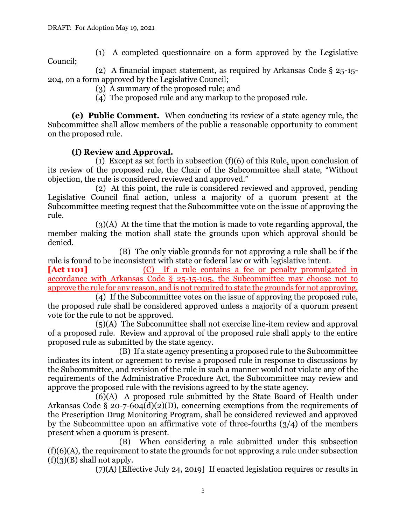(1) A completed questionnaire on a form approved by the Legislative Council;

(2) A financial impact statement, as required by Arkansas Code § 25-15- 204, on a form approved by the Legislative Council;

- (3) A summary of the proposed rule; and
- (4) The proposed rule and any markup to the proposed rule.

**(e) Public Comment.** When conducting its review of a state agency rule, the Subcommittee shall allow members of the public a reasonable opportunity to comment on the proposed rule.

### **(f) Review and Approval.**

(1) Except as set forth in subsection  $(f)(6)$  of this Rule, upon conclusion of its review of the proposed rule, the Chair of the Subcommittee shall state, "Without objection, the rule is considered reviewed and approved."

(2) At this point, the rule is considered reviewed and approved, pending Legislative Council final action, unless a majority of a quorum present at the Subcommittee meeting request that the Subcommittee vote on the issue of approving the rule.

(3)(A) At the time that the motion is made to vote regarding approval, the member making the motion shall state the grounds upon which approval should be denied.

(B) The only viable grounds for not approving a rule shall be if the rule is found to be inconsistent with state or federal law or with legislative intent.

**[Act 1101]** (C) If a rule contains a fee or penalty promulgated in accordance with Arkansas Code § 25-15-105, the Subcommittee may choose not to approve the rule for any reason, and is not required to state the grounds for not approving.

(4) If the Subcommittee votes on the issue of approving the proposed rule, the proposed rule shall be considered approved unless a majority of a quorum present vote for the rule to not be approved.

(5)(A) The Subcommittee shall not exercise line-item review and approval of a proposed rule. Review and approval of the proposed rule shall apply to the entire proposed rule as submitted by the state agency.

(B) If a state agency presenting a proposed rule to the Subcommittee indicates its intent or agreement to revise a proposed rule in response to discussions by the Subcommittee, and revision of the rule in such a manner would not violate any of the requirements of the Administrative Procedure Act, the Subcommittee may review and approve the proposed rule with the revisions agreed to by the state agency.

(6)(A) A proposed rule submitted by the State Board of Health under Arkansas Code § 20-7-604(d)(2)(D), concerning exemptions from the requirements of the Prescription Drug Monitoring Program, shall be considered reviewed and approved by the Subcommittee upon an affirmative vote of three-fourths  $(3/4)$  of the members present when a quorum is present.

(B) When considering a rule submitted under this subsection (f)(6)(A), the requirement to state the grounds for not approving a rule under subsection  $(f)(3)(B)$  shall not apply.

(7)(A) [Effective July 24, 2019] If enacted legislation requires or results in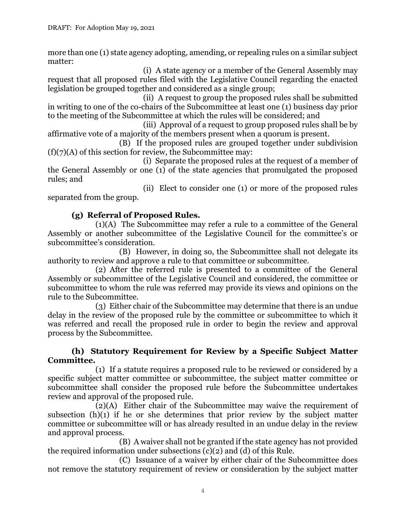more than one (1) state agency adopting, amending, or repealing rules on a similar subject matter:

(i) A state agency or a member of the General Assembly may request that all proposed rules filed with the Legislative Council regarding the enacted legislation be grouped together and considered as a single group;

(ii) A request to group the proposed rules shall be submitted in writing to one of the co-chairs of the Subcommittee at least one (1) business day prior to the meeting of the Subcommittee at which the rules will be considered; and

(iii) Approval of a request to group proposed rules shall be by affirmative vote of a majority of the members present when a quorum is present.

(B) If the proposed rules are grouped together under subdivision  $(f)(7)(A)$  of this section for review, the Subcommittee may:

(i) Separate the proposed rules at the request of a member of the General Assembly or one (1) of the state agencies that promulgated the proposed rules; and

(ii) Elect to consider one (1) or more of the proposed rules separated from the group.

# **(g) Referral of Proposed Rules.**

(1)(A) The Subcommittee may refer a rule to a committee of the General Assembly or another subcommittee of the Legislative Council for the committee's or subcommittee's consideration.

(B) However, in doing so, the Subcommittee shall not delegate its authority to review and approve a rule to that committee or subcommittee.

(2) After the referred rule is presented to a committee of the General Assembly or subcommittee of the Legislative Council and considered, the committee or subcommittee to whom the rule was referred may provide its views and opinions on the rule to the Subcommittee.

(3) Either chair of the Subcommittee may determine that there is an undue delay in the review of the proposed rule by the committee or subcommittee to which it was referred and recall the proposed rule in order to begin the review and approval process by the Subcommittee.

#### **(h) Statutory Requirement for Review by a Specific Subject Matter Committee.**

(1) If a statute requires a proposed rule to be reviewed or considered by a specific subject matter committee or subcommittee, the subject matter committee or subcommittee shall consider the proposed rule before the Subcommittee undertakes review and approval of the proposed rule.

(2)(A) Either chair of the Subcommittee may waive the requirement of subsection  $(h)(1)$  if he or she determines that prior review by the subject matter committee or subcommittee will or has already resulted in an undue delay in the review and approval process.

(B) A waiver shall not be granted if the state agency has not provided the required information under subsections (c)(2) and (d) of this Rule.

(C) Issuance of a waiver by either chair of the Subcommittee does not remove the statutory requirement of review or consideration by the subject matter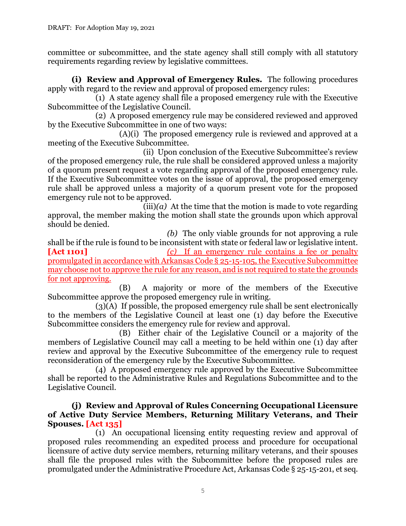committee or subcommittee, and the state agency shall still comply with all statutory requirements regarding review by legislative committees.

**(i) Review and Approval of Emergency Rules.** The following procedures apply with regard to the review and approval of proposed emergency rules:

(1) A state agency shall file a proposed emergency rule with the Executive Subcommittee of the Legislative Council.

(2) A proposed emergency rule may be considered reviewed and approved by the Executive Subcommittee in one of two ways:

(A)(i) The proposed emergency rule is reviewed and approved at a meeting of the Executive Subcommittee.

(ii) Upon conclusion of the Executive Subcommittee's review of the proposed emergency rule, the rule shall be considered approved unless a majority of a quorum present request a vote regarding approval of the proposed emergency rule. If the Executive Subcommittee votes on the issue of approval, the proposed emergency rule shall be approved unless a majority of a quorum present vote for the proposed emergency rule not to be approved.

 $(iii)(a)$  At the time that the motion is made to vote regarding approval, the member making the motion shall state the grounds upon which approval should be denied.

*(b)* The only viable grounds for not approving a rule shall be if the rule is found to be inconsistent with state or federal law or legislative intent. **[Act 1101]** *(c)* If an emergency rule contains a fee or penalty promulgated in accordance with Arkansas Code § 25-15-105, the Executive Subcommittee may choose not to approve the rule for any reason, and is not required to state the grounds for not approving.

(B) A majority or more of the members of the Executive Subcommittee approve the proposed emergency rule in writing.

(3)(A) If possible, the proposed emergency rule shall be sent electronically to the members of the Legislative Council at least one (1) day before the Executive Subcommittee considers the emergency rule for review and approval.

(B) Either chair of the Legislative Council or a majority of the members of Legislative Council may call a meeting to be held within one (1) day after review and approval by the Executive Subcommittee of the emergency rule to request reconsideration of the emergency rule by the Executive Subcommittee.

(4) A proposed emergency rule approved by the Executive Subcommittee shall be reported to the Administrative Rules and Regulations Subcommittee and to the Legislative Council.

#### **(j) Review and Approval of Rules Concerning Occupational Licensure of Active Duty Service Members, Returning Military Veterans, and Their Spouses. [Act 135]**

(1) An occupational licensing entity requesting review and approval of proposed rules recommending an expedited process and procedure for occupational licensure of active duty service members, returning military veterans, and their spouses shall file the proposed rules with the Subcommittee before the proposed rules are promulgated under the Administrative Procedure Act, Arkansas Code § 25-15-201, et seq.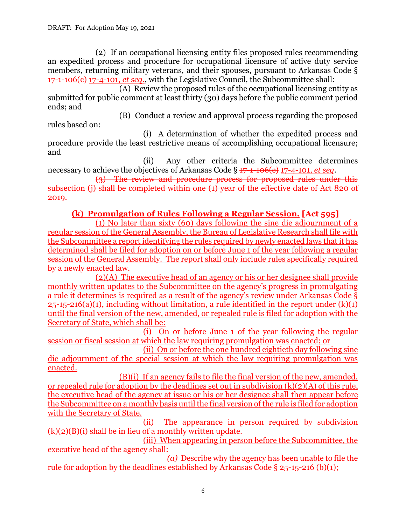(2) If an occupational licensing entity files proposed rules recommending an expedited process and procedure for occupational licensure of active duty service members, returning military veterans, and their spouses, pursuant to Arkansas Code § 17-1-106(c) 17-4-101, *et seq*., with the Legislative Council, the Subcommittee shall:

(A) Review the proposed rules of the occupational licensing entity as submitted for public comment at least thirty (30) days before the public comment period ends; and

(B) Conduct a review and approval process regarding the proposed rules based on:

(i) A determination of whether the expedited process and procedure provide the least restrictive means of accomplishing occupational licensure; and

(ii) Any other criteria the Subcommittee determines necessary to achieve the objectives of Arkansas Code § 17-1-106(c) 17-4-101, *et seq*.

(3) The review and procedure process for proposed rules under this subsection (j) shall be completed within one (1) year of the effective date of Act 820 of 2019.

#### **(k) Promulgation of Rules Following a Regular Session. [Act 595]**

(1) No later than sixty (60) days following the sine die adjournment of a regular session of the General Assembly, the Bureau of Legislative Research shall file with the Subcommittee a report identifying the rules required by newly enacted laws that it has determined shall be filed for adoption on or before June 1 of the year following a regular session of the General Assembly. The report shall only include rules specifically required by a newly enacted law.

(2)(A) The executive head of an agency or his or her designee shall provide monthly written updates to the Subcommittee on the agency's progress in promulgating a rule it determines is required as a result of the agency's review under Arkansas Code §  $25-15-216(a)(1)$ , including without limitation, a rule identified in the report under  $(k)(1)$ until the final version of the new, amended, or repealed rule is filed for adoption with the Secretary of State, which shall be:

(i) On or before June 1 of the year following the regular session or fiscal session at which the law requiring promulgation was enacted; or

(ii) On or before the one hundred eightieth day following sine die adjournment of the special session at which the law requiring promulgation was enacted.

(B)(i) If an agency fails to file the final version of the new, amended, or repealed rule for adoption by the deadlines set out in subdivision (k)(2)(A) of this rule, the executive head of the agency at issue or his or her designee shall then appear before the Subcommittee on a monthly basis until the final version of the rule is filed for adoption with the Secretary of State.

(ii) The appearance in person required by subdivision  $(k)(2)(B)(i)$  shall be in lieu of a monthly written update.

(iii) When appearing in person before the Subcommittee, the executive head of the agency shall:

*(a)* Describe why the agency has been unable to file the rule for adoption by the deadlines established by Arkansas Code § 25-15-216 (b)(1);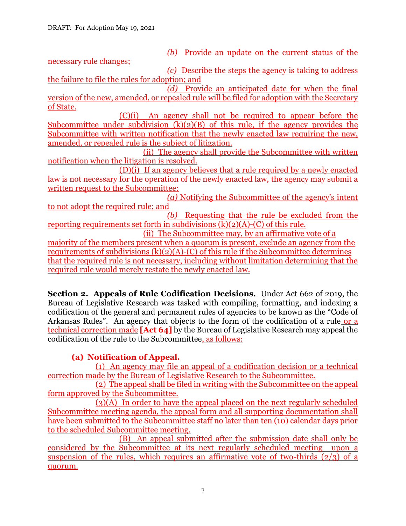*(b)* Provide an update on the current status of the

necessary rule changes;

*(c)* Describe the steps the agency is taking to address the failure to file the rules for adoption; and

*(d)* Provide an anticipated date for when the final version of the new, amended, or repealed rule will be filed for adoption with the Secretary of State.

(C)(i) An agency shall not be required to appear before the Subcommittee under subdivision  $(k)(2)(B)$  of this rule, if the agency provides the Subcommittee with written notification that the newly enacted law requiring the new, amended, or repealed rule is the subject of litigation.

(ii) The agency shall provide the Subcommittee with written notification when the litigation is resolved.

(D)(i) If an agency believes that a rule required by a newly enacted law is not necessary for the operation of the newly enacted law, the agency may submit a written request to the Subcommittee:

*(a)* Notifying the Subcommittee of the agency's intent to not adopt the required rule; and

*(b)* Requesting that the rule be excluded from the reporting requirements set forth in subdivisions  $(k)(2)(A)-(C)$  of this rule.

(ii) The Subcommittee may, by an affirmative vote of a majority of the members present when a quorum is present, exclude an agency from the requirements of subdivisions  $(k)(2)(A)-(C)$  of this rule if the Subcommittee determines that the required rule is not necessary, including without limitation determining that the required rule would merely restate the newly enacted law.

**Section 2. Appeals of Rule Codification Decisions.** Under Act 662 of 2019, the Bureau of Legislative Research was tasked with compiling, formatting, and indexing a codification of the general and permanent rules of agencies to be known as the "Code of Arkansas Rules". An agency that objects to the form of the codification of a rule or a technical correction made **[Act 64]** by the Bureau of Legislative Research may appeal the codification of the rule to the Subcommittee, as follows:

# **(a) Notification of Appeal.**

(1) An agency may file an appeal of a codification decision or a technical correction made by the Bureau of Legislative Research to the Subcommittee.

(2) The appeal shall be filed in writing with the Subcommittee on the appeal form approved by the Subcommittee.

(3)(A) In order to have the appeal placed on the next regularly scheduled Subcommittee meeting agenda, the appeal form and all supporting documentation shall have been submitted to the Subcommittee staff no later than ten (10) calendar days prior to the scheduled Subcommittee meeting.

(B) An appeal submitted after the submission date shall only be considered by the Subcommittee at its next regularly scheduled meeting upon a suspension of the rules, which requires an affirmative vote of two-thirds  $(2/3)$  of a quorum.